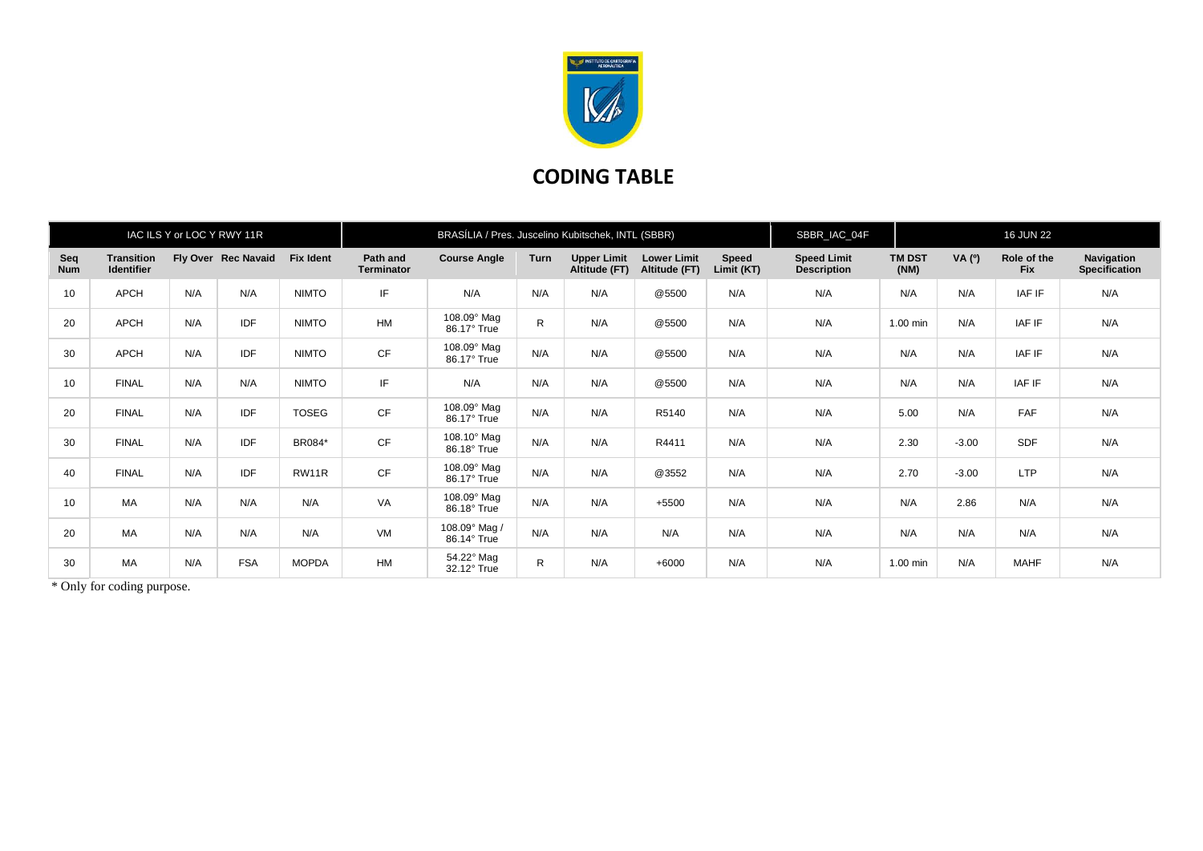

## **CODING TABLE**

| IAC ILS Y or LOC Y RWY 11R |                                        |     |                     |                  | BRASÍLIA / Pres. Juscelino Kubitschek, INTL (SBBR) |                                   |              |                                     |                                     |                            | SBBR_IAC_04F                             |                       | <b>16 JUN 22</b> |                           |                             |
|----------------------------|----------------------------------------|-----|---------------------|------------------|----------------------------------------------------|-----------------------------------|--------------|-------------------------------------|-------------------------------------|----------------------------|------------------------------------------|-----------------------|------------------|---------------------------|-----------------------------|
| Seq<br><b>Num</b>          | <b>Transition</b><br><b>Identifier</b> |     | Fly Over Rec Navaid | <b>Fix Ident</b> | Path and<br>Terminator                             | <b>Course Angle</b>               | <b>Turn</b>  | <b>Upper Limit</b><br>Altitude (FT) | <b>Lower Limit</b><br>Altitude (FT) | <b>Speed</b><br>Limit (KT) | <b>Speed Limit</b><br><b>Description</b> | <b>TM DST</b><br>(NM) | VA $(°)$         | Role of the<br><b>Fix</b> | Navigation<br>Specification |
| 10                         | APCH                                   | N/A | N/A                 | <b>NIMTO</b>     | IF                                                 | N/A                               | N/A          | N/A                                 | @5500                               | N/A                        | N/A                                      | N/A                   | N/A              | IAF IF                    | N/A                         |
| 20                         | <b>APCH</b>                            | N/A | IDF                 | <b>NIMTO</b>     | HM                                                 | 108.09° Mag<br>86.17° True        | $\mathsf{R}$ | N/A                                 | @5500                               | N/A                        | N/A                                      | 1.00 min              | N/A              | IAF IF                    | N/A                         |
| 30                         | <b>APCH</b>                            | N/A | IDF                 | <b>NIMTO</b>     | CF                                                 | 108.09° Mag<br>86.17° True        | N/A          | N/A                                 | @5500                               | N/A                        | N/A                                      | N/A                   | N/A              | IAF IF                    | N/A                         |
| 10                         | <b>FINAL</b>                           | N/A | N/A                 | <b>NIMTO</b>     | IF                                                 | N/A                               | N/A          | N/A                                 | @5500                               | N/A                        | N/A                                      | N/A                   | N/A              | IAF IF                    | N/A                         |
| 20                         | <b>FINAL</b>                           | N/A | IDF                 | <b>TOSEG</b>     | CF                                                 | 108.09° Mag<br>86.17° True        | N/A          | N/A                                 | R5140                               | N/A                        | N/A                                      | 5.00                  | N/A              | FAF                       | N/A                         |
| 30                         | <b>FINAL</b>                           | N/A | IDF                 | BR084*           | CF                                                 | $108.10^\circ$ Mag<br>86.18° True | N/A          | N/A                                 | R4411                               | N/A                        | N/A                                      | 2.30                  | $-3.00$          | SDF                       | N/A                         |
| 40                         | <b>FINAL</b>                           | N/A | <b>IDF</b>          | RW11R            | CF                                                 | 108.09° Mag<br>86.17° True        | N/A          | N/A                                 | @3552                               | N/A                        | N/A                                      | 2.70                  | $-3.00$          | <b>LTP</b>                | N/A                         |
| 10                         | MA                                     | N/A | N/A                 | N/A              | VA                                                 | 108.09° Mag<br>86.18° True        | N/A          | N/A                                 | +5500                               | N/A                        | N/A                                      | N/A                   | 2.86             | N/A                       | N/A                         |
| 20                         | MA                                     | N/A | N/A                 | N/A              | VM                                                 | 108.09° Mag /<br>86.14° True      | N/A          | N/A                                 | N/A                                 | N/A                        | N/A                                      | N/A                   | N/A              | N/A                       | N/A                         |
| 30                         | MA                                     | N/A | <b>FSA</b>          | <b>MOPDA</b>     | HM                                                 | 54.22° Mag<br>32.12° True         | $\mathsf{R}$ | N/A                                 | $+6000$                             | N/A                        | N/A                                      | 1.00 min              | N/A              | <b>MAHF</b>               | N/A                         |

\* Only for coding purpose.